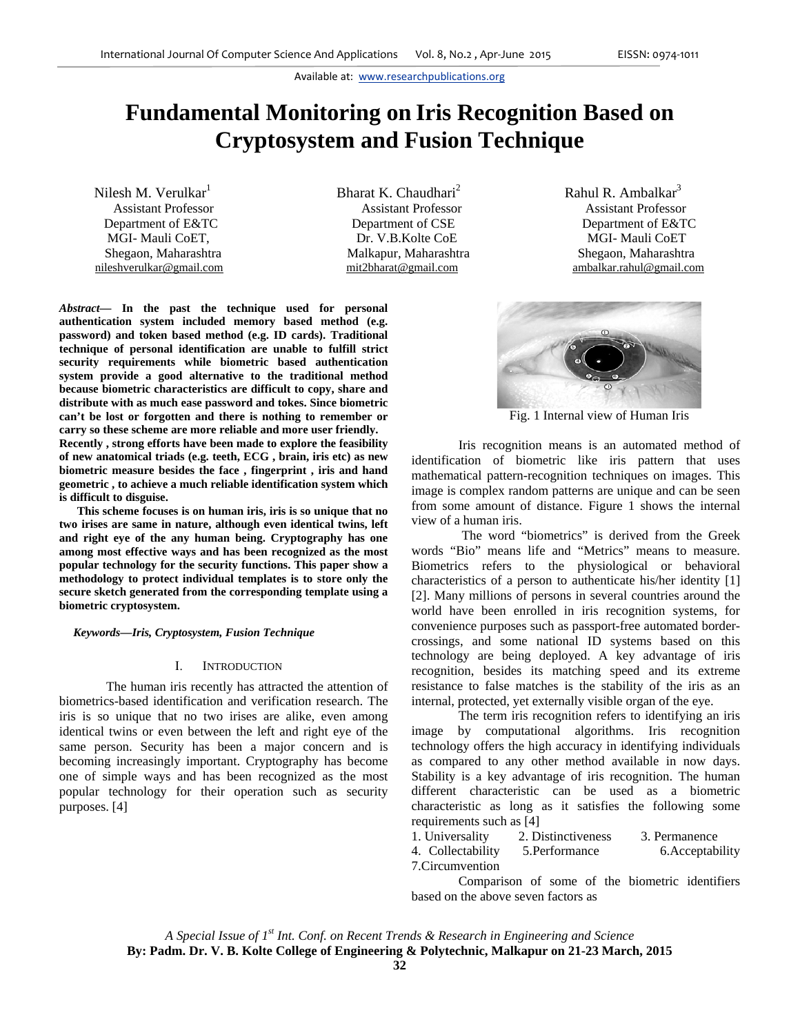# **Fundamental Monitoring on Iris Recognition Based on Cryptosystem and Fusion Technique**

Nilesh M. Verulkar $<sup>1</sup>$ </sup>

Bharat K. Chaudhari<sup>2</sup> Assistant Professor Assistant Professor Assistant Professor Department of E&TC Department of CSE Department of E&TC MGI- Mauli CoET,  $D_r$  V.B.Kolte CoE and MGI- Mauli CoET Shegaon, Maharashtra **Malkapur, Maharashtra** Shegaon, Maharashtra

*Abstract—* **In the past the technique used for personal authentication system included memory based method (e.g. password) and token based method (e.g. ID cards). Traditional technique of personal identification are unable to fulfill strict security requirements while biometric based authentication system provide a good alternative to the traditional method because biometric characteristics are difficult to copy, share and distribute with as much ease password and tokes. Since biometric can't be lost or forgotten and there is nothing to remember or carry so these scheme are more reliable and more user friendly.** 

**Recently , strong efforts have been made to explore the feasibility of new anatomical triads (e.g. teeth, ECG , brain, iris etc) as new biometric measure besides the face , fingerprint , iris and hand geometric , to achieve a much reliable identification system which is difficult to disguise.** 

**This scheme focuses is on human iris, iris is so unique that no two irises are same in nature, although even identical twins, left and right eye of the any human being. Cryptography has one among most effective ways and has been recognized as the most popular technology for the security functions. This paper show a methodology to protect individual templates is to store only the secure sketch generated from the corresponding template using a biometric cryptosystem.** 

*Keywords—Iris, Cryptosystem, Fusion Technique* 

## I. INTRODUCTION

The human iris recently has attracted the attention of biometrics-based identification and verification research. The iris is so unique that no two irises are alike, even among identical twins or even between the left and right eye of the same person. Security has been a major concern and is becoming increasingly important. Cryptography has become one of simple ways and has been recognized as the most popular technology for their operation such as security purposes. [4]

Rahul R. Ambalkar $3$ nileshverulkar@gmail.com mit2bharat@gmail.com ambalkar.rahul@gmail.com



Fig. 1 Internal view of Human Iris

Iris recognition means is an automated method of identification of biometric like iris pattern that uses mathematical pattern-recognition techniques on images. This image is complex random patterns are unique and can be seen from some amount of distance. Figure 1 shows the internal view of a human iris.

 The word "biometrics" is derived from the Greek words "Bio" means life and "Metrics" means to measure. Biometrics refers to the physiological or behavioral characteristics of a person to authenticate his/her identity [1] [2]. Many millions of persons in several countries around the world have been enrolled in iris recognition systems, for convenience purposes such as passport-free automated bordercrossings, and some national ID systems based on this technology are being deployed. A key advantage of iris recognition, besides its matching speed and its extreme resistance to false matches is the stability of the iris as an internal, protected, yet externally visible organ of the eye.

The term iris recognition refers to identifying an iris image by computational algorithms. Iris recognition technology offers the high accuracy in identifying individuals as compared to any other method available in now days. Stability is a key advantage of iris recognition. The human different characteristic can be used as a biometric characteristic as long as it satisfies the following some requirements such as [4]

| 1. Universality   | 2. Distinctiveness | 3. Permanence    |
|-------------------|--------------------|------------------|
| 4. Collectability | 5. Performance     | 6. Acceptability |
| 7. Circumvention  |                    |                  |

Comparison of some of the biometric identifiers based on the above seven factors as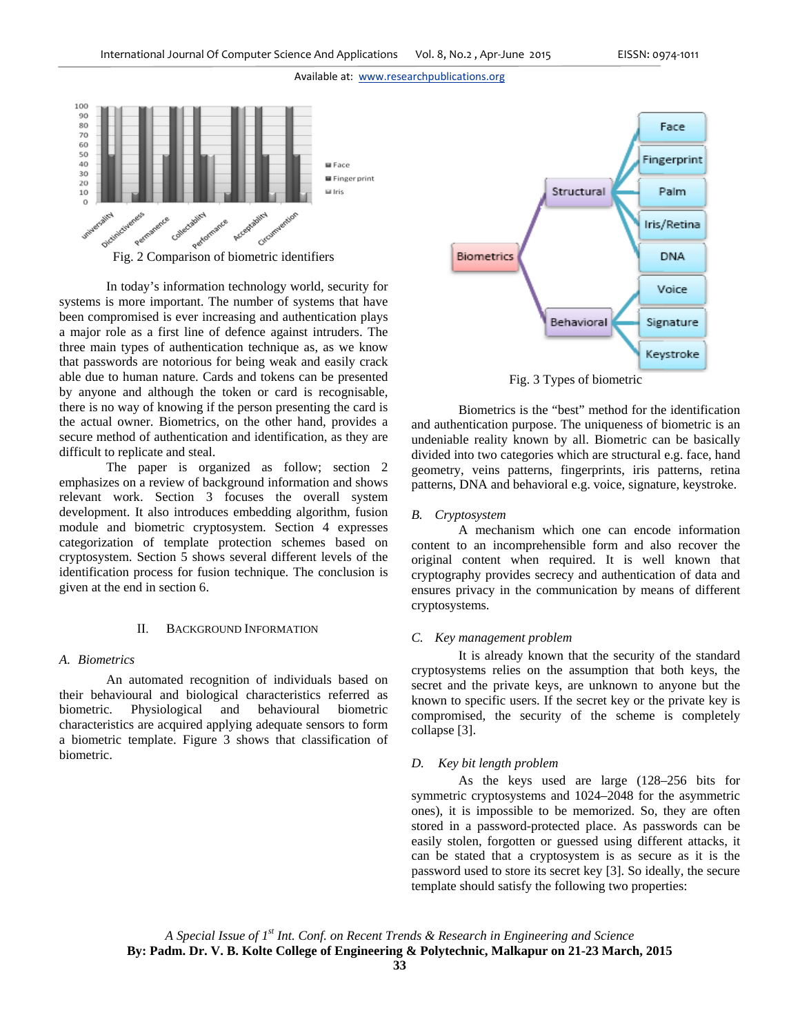

 In today's information technology world, security for systems is more important. The number of systems that have been compromised is ever increasing and authentication plays a major role as a first line of defence against intruders. The three main types of authentication technique as, as we know that passwords are notorious for being weak and easily crack able due to human nature. Cards and tokens can be presented by anyone and although the token or card is recognisable, there is no way of knowing if the person presenting the card is the actual owner. Biometrics, on the other hand, provides a secure method of authentication and identification, as they are difficult to replicate and steal.

 The paper is organized as follow; section 2 emphasizes on a review of background information and shows relevant work. Section 3 focuses the overall system development. It also introduces embedding algorithm, fusion module and biometric cryptosystem. Section 4 expresses categorization of template protection schemes based on cryptosystem. Section 5 shows several different levels of the identification process for fusion technique. The conclusion is given at the end in section 6.

## BACKGROUND INFORMATION

## *A. Biometrics*

An automated recognition of individuals based on their behavioural and biological characteristics referred as biometric. Physiological and behavioural biometric characteristics are acquired applying adequate sensors to form a biometric template. Figure 3 shows that classification of biometric.



Fig. 3 Types of biometric

Biometrics is the "best" method for the identification and authentication purpose. The uniqueness of biometric is an undeniable reality known by all. Biometric can be basically divided into two categories which are structural e.g. face, hand geometry, veins patterns, fingerprints, iris patterns, retina patterns, DNA and behavioral e.g. voice, signature, keystroke.

## *B. Cryptosystem*

 A mechanism which one can encode information content to an incomprehensible form and also recover the original content when required. It is well known that cryptography provides secrecy and authentication of data and ensures privacy in the communication by means of different cryptosystems.

## *C. Key management problem*

It is already known that the security of the standard cryptosystems relies on the assumption that both keys, the secret and the private keys, are unknown to anyone but the known to specific users. If the secret key or the private key is compromised, the security of the scheme is completely collapse [3].

## *D. Key bit length problem*

As the keys used are large (128–256 bits for symmetric cryptosystems and 1024–2048 for the asymmetric ones), it is impossible to be memorized. So, they are often stored in a password-protected place. As passwords can be easily stolen, forgotten or guessed using different attacks, it can be stated that a cryptosystem is as secure as it is the password used to store its secret key [3]. So ideally, the secure template should satisfy the following two properties: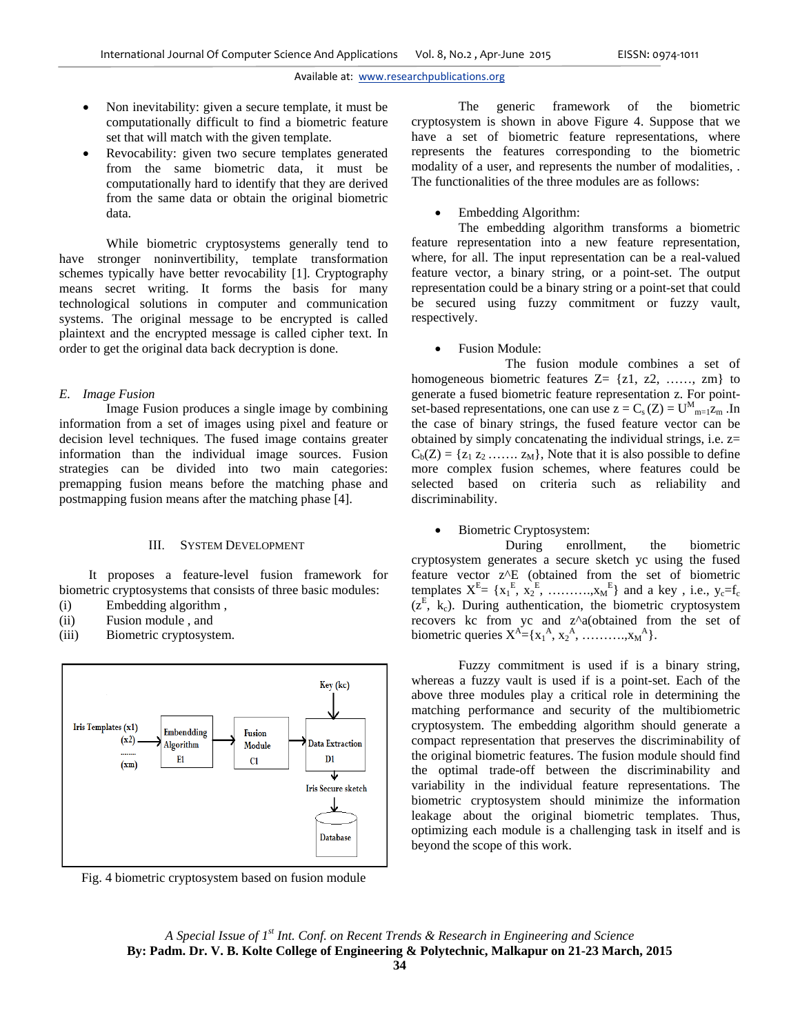- Non inevitability: given a secure template, it must be computationally difficult to find a biometric feature set that will match with the given template.
- Revocability: given two secure templates generated from the same biometric data, it must be computationally hard to identify that they are derived from the same data or obtain the original biometric data.

 While biometric cryptosystems generally tend to have stronger noninvertibility, template transformation schemes typically have better revocability [1]. Cryptography means secret writing. It forms the basis for many technological solutions in computer and communication systems. The original message to be encrypted is called plaintext and the encrypted message is called cipher text. In order to get the original data back decryption is done.

## *E. Image Fusion*

Image Fusion produces a single image by combining information from a set of images using pixel and feature or decision level techniques. The fused image contains greater information than the individual image sources. Fusion strategies can be divided into two main categories: premapping fusion means before the matching phase and postmapping fusion means after the matching phase [4].

## III. SYSTEM DEVELOPMENT

It proposes a feature-level fusion framework for biometric cryptosystems that consists of three basic modules:

- (i) Embedding algorithm ,
- (ii) Fusion module , and
- (iii) Biometric cryptosystem.



Fig. 4 biometric cryptosystem based on fusion module

The generic framework of the biometric cryptosystem is shown in above Figure 4. Suppose that we have a set of biometric feature representations, where represents the features corresponding to the biometric modality of a user, and represents the number of modalities, . The functionalities of the three modules are as follows:

Embedding Algorithm:

 The embedding algorithm transforms a biometric feature representation into a new feature representation, where, for all. The input representation can be a real-valued feature vector, a binary string, or a point-set. The output representation could be a binary string or a point-set that could be secured using fuzzy commitment or fuzzy vault, respectively.

Fusion Module:

 The fusion module combines a set of homogeneous biometric features  $Z = \{z1, z2, \ldots, zm\}$  to generate a fused biometric feature representation z. For pointset-based representations, one can use  $z = C_s(Z) = U_{m=1}^M z_m$ . In the case of binary strings, the fused feature vector can be obtained by simply concatenating the individual strings, i.e. z=  $C_b(Z) = \{z_1 z_2 \ldots z_M\}$ , Note that it is also possible to define more complex fusion schemes, where features could be selected based on criteria such as reliability and discriminability.

## Biometric Cryptosystem:

 During enrollment, the biometric cryptosystem generates a secure sketch yc using the fused feature vector z^E (obtained from the set of biometric templates  $X^E = \{x_1^E, x_2^E, \dots, x_M^E\}$  and a key, i.e.,  $y_c = f_c$  $(z^E, k_c)$ . During authentication, the biometric cryptosystem recovers kc from yc and z^a(obtained from the set of biometric queries  $X^A = \{x_1^A, x_2^A, \dots, x_M^A\}.$ 

 Fuzzy commitment is used if is a binary string, whereas a fuzzy vault is used if is a point-set. Each of the above three modules play a critical role in determining the matching performance and security of the multibiometric cryptosystem. The embedding algorithm should generate a compact representation that preserves the discriminability of the original biometric features. The fusion module should find the optimal trade-off between the discriminability and variability in the individual feature representations. The biometric cryptosystem should minimize the information leakage about the original biometric templates. Thus, optimizing each module is a challenging task in itself and is beyond the scope of this work.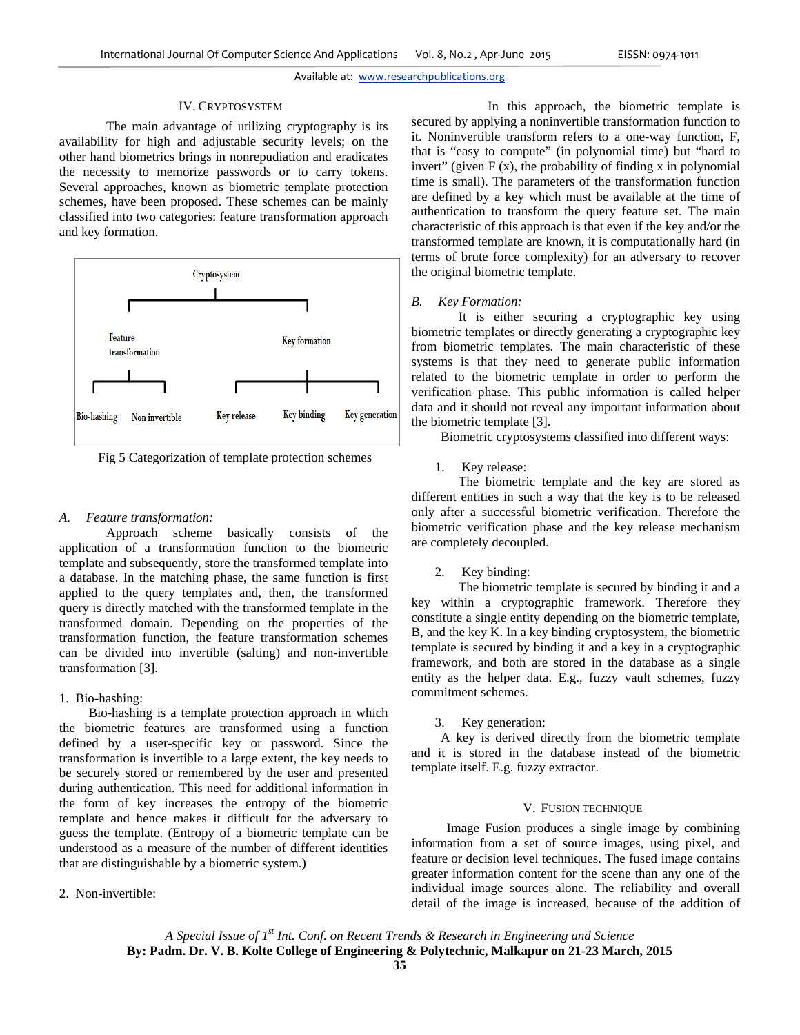#### IV. CRYPTOSYSTEM

The main advantage of utilizing cryptography is its availability for high and adjustable security levels; on the other hand biometrics brings in nonrepudiation and eradicates the necessity to memorize passwords or to carry tokens. Several approaches, known as biometric template protection schemes, have been proposed. These schemes can be mainly classified into two categories: feature transformation approach and key formation.



Fig 5 Categorization of template protection schemes

# *A. Feature transformation:*

Approach scheme basically consists of the application of a transformation function to the biometric template and subsequently, store the transformed template into a database. In the matching phase, the same function is first applied to the query templates and, then, the transformed query is directly matched with the transformed template in the transformed domain. Depending on the properties of the transformation function, the feature transformation schemes can be divided into invertible (salting) and non-invertible transformation [3].

# 1. Bio-hashing:

Bio-hashing is a template protection approach in which the biometric features are transformed using a function defined by a user-specific key or password. Since the transformation is invertible to a large extent, the key needs to be securely stored or remembered by the user and presented during authentication. This need for additional information in the form of key increases the entropy of the biometric template and hence makes it difficult for the adversary to guess the template. (Entropy of a biometric template can be understood as a measure of the number of different identities that are distinguishable by a biometric system.)

## 2. Non-invertible:

In this approach, the biometric template is secured by applying a noninvertible transformation function to it. Noninvertible transform refers to a one-way function, F, that is "easy to compute" (in polynomial time) but "hard to invert" (given  $F(x)$ , the probability of finding x in polynomial time is small). The parameters of the transformation function are defined by a key which must be available at the time of authentication to transform the query feature set. The main characteristic of this approach is that even if the key and/or the transformed template are known, it is computationally hard (in terms of brute force complexity) for an adversary to recover the original biometric template.

# *B. Key Formation:*

 It is either securing a cryptographic key using biometric templates or directly generating a cryptographic key from biometric templates. The main characteristic of these systems is that they need to generate public information related to the biometric template in order to perform the verification phase. This public information is called helper data and it should not reveal any important information about the biometric template [3].

Biometric cryptosystems classified into different ways:

1. Key release:

 The biometric template and the key are stored as different entities in such a way that the key is to be released only after a successful biometric verification. Therefore the biometric verification phase and the key release mechanism are completely decoupled.

2. Key binding:

 The biometric template is secured by binding it and a key within a cryptographic framework. Therefore they constitute a single entity depending on the biometric template, B, and the key K. In a key binding cryptosystem, the biometric template is secured by binding it and a key in a cryptographic framework, and both are stored in the database as a single entity as the helper data. E.g., fuzzy vault schemes, fuzzy commitment schemes.

## 3. Key generation:

A key is derived directly from the biometric template and it is stored in the database instead of the biometric template itself. E.g. fuzzy extractor.

## V. FUSION TECHNIQUE

Image Fusion produces a single image by combining information from a set of source images, using pixel, and feature or decision level techniques. The fused image contains greater information content for the scene than any one of the individual image sources alone. The reliability and overall detail of the image is increased, because of the addition of